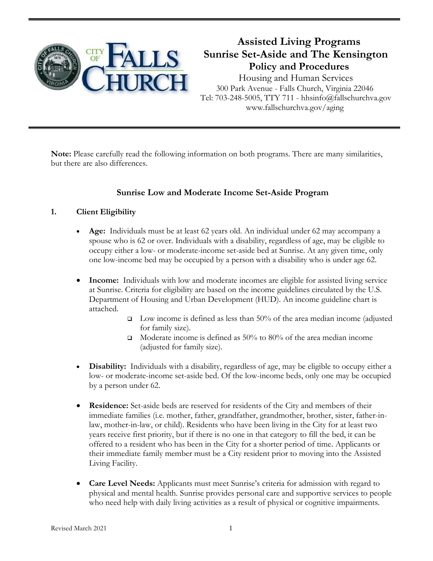

# **Assisted Living Programs Sunrise Set-Aside and The Kensington Policy and Procedures**

 Housing and Human Services 300 Park Avenue - Falls Church, Virginia 22046 Tel: 703-248-5005, TTY 711 - hhsinfo@fallschurchva.gov www.fallschurchva.gov/aging

**Note:** Please carefully read the following information on both programs. There are many similarities, but there are also differences.

# **Sunrise Low and Moderate Income Set-Aside Program**

## **1. Client Eligibility**

- **Age:** Individuals must be at least 62 years old. An individual under 62 may accompany a spouse who is 62 or over. Individuals with a disability, regardless of age, may be eligible to occupy either a low- or moderate-income set-aside bed at Sunrise. At any given time, only one low-income bed may be occupied by a person with a disability who is under age 62.
- **Income:** Individuals with low and moderate incomes are eligible for assisted living service at Sunrise. Criteria for eligibility are based on the income guidelines circulated by the U.S. Department of Housing and Urban Development (HUD). An income guideline chart is attached.
	- $\Box$  Low income is defined as less than 50% of the area median income (adjusted for family size).
	- Moderate income is defined as 50% to 80% of the area median income (adjusted for family size).
- **Disability:** Individuals with a disability, regardless of age, may be eligible to occupy either a low- or moderate-income set-aside bed. Of the low-income beds, only one may be occupied by a person under 62.
- **Residence:** Set-aside beds are reserved for residents of the City and members of their immediate families (i.e. mother, father, grandfather, grandmother, brother, sister, father-inlaw, mother-in-law, or child). Residents who have been living in the City for at least two years receive first priority, but if there is no one in that category to fill the bed, it can be offered to a resident who has been in the City for a shorter period of time. Applicants or their immediate family member must be a City resident prior to moving into the Assisted Living Facility.
- **Care Level Needs:** Applicants must meet Sunrise's criteria for admission with regard to physical and mental health. Sunrise provides personal care and supportive services to people who need help with daily living activities as a result of physical or cognitive impairments.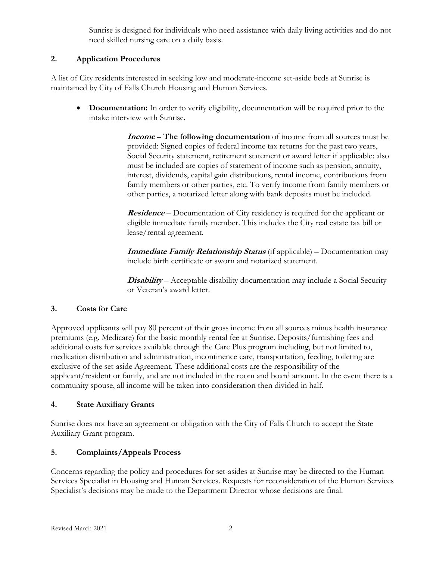Sunrise is designed for individuals who need assistance with daily living activities and do not need skilled nursing care on a daily basis.

## **2. Application Procedures**

A list of City residents interested in seeking low and moderate-income set-aside beds at Sunrise is maintained by City of Falls Church Housing and Human Services.

 **Documentation:** In order to verify eligibility, documentation will be required prior to the intake interview with Sunrise.

> **Income** *–* **The following documentation** of income from all sources must be provided: Signed copies of federal income tax returns for the past two years, Social Security statement, retirement statement or award letter if applicable; also must be included are copies of statement of income such as pension, annuity, interest, dividends, capital gain distributions, rental income, contributions from family members or other parties, etc. To verify income from family members or other parties, a notarized letter along with bank deposits must be included.

**Residence** – Documentation of City residency is required for the applicant or eligible immediate family member. This includes the City real estate tax bill or lease/rental agreement.

**Immediate Family Relationship Status** (if applicable) – Documentation may include birth certificate or sworn and notarized statement.

**Disability** – Acceptable disability documentation may include a Social Security or Veteran's award letter.

## **3. Costs for Care**

Approved applicants will pay 80 percent of their gross income from all sources minus health insurance premiums (e.g. Medicare) for the basic monthly rental fee at Sunrise. Deposits/furnishing fees and additional costs for services available through the Care Plus program including, but not limited to, medication distribution and administration, incontinence care, transportation, feeding, toileting are exclusive of the set-aside Agreement. These additional costs are the responsibility of the applicant/resident or family, and are not included in the room and board amount. In the event there is a community spouse, all income will be taken into consideration then divided in half.

## **4. State Auxiliary Grants**

Sunrise does not have an agreement or obligation with the City of Falls Church to accept the State Auxiliary Grant program.

# **5. Complaints/Appeals Process**

Concerns regarding the policy and procedures for set-asides at Sunrise may be directed to the Human Services Specialist in Housing and Human Services. Requests for reconsideration of the Human Services Specialist's decisions may be made to the Department Director whose decisions are final.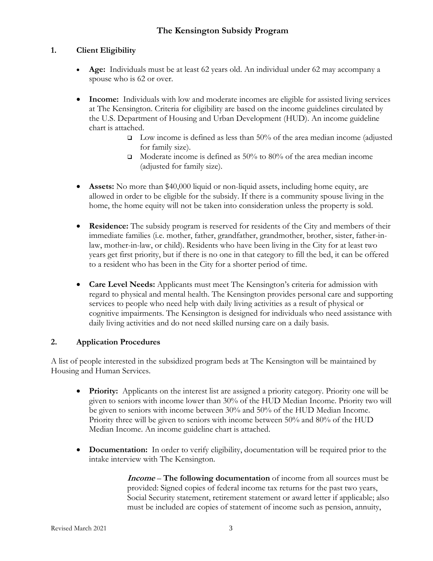## **1. Client Eligibility**

- **Age:** Individuals must be at least 62 years old. An individual under 62 may accompany a spouse who is 62 or over.
- **Income:** Individuals with low and moderate incomes are eligible for assisted living services at The Kensington. Criteria for eligibility are based on the income guidelines circulated by the U.S. Department of Housing and Urban Development (HUD). An income guideline chart is attached.
	- $\square$  Low income is defined as less than 50% of the area median income (adjusted for family size).
	- Moderate income is defined as 50% to 80% of the area median income (adjusted for family size).
- **Assets:** No more than \$40,000 liquid or non-liquid assets, including home equity, are allowed in order to be eligible for the subsidy. If there is a community spouse living in the home, the home equity will not be taken into consideration unless the property is sold.
- **Residence:** The subsidy program is reserved for residents of the City and members of their immediate families (i.e. mother, father, grandfather, grandmother, brother, sister, father-inlaw, mother-in-law, or child). Residents who have been living in the City for at least two years get first priority, but if there is no one in that category to fill the bed, it can be offered to a resident who has been in the City for a shorter period of time.
- **Care Level Needs:** Applicants must meet The Kensington's criteria for admission with regard to physical and mental health. The Kensington provides personal care and supporting services to people who need help with daily living activities as a result of physical or cognitive impairments. The Kensington is designed for individuals who need assistance with daily living activities and do not need skilled nursing care on a daily basis.

## **2. Application Procedures**

A list of people interested in the subsidized program beds at The Kensington will be maintained by Housing and Human Services.

- **Priority:** Applicants on the interest list are assigned a priority category. Priority one will be given to seniors with income lower than 30% of the HUD Median Income. Priority two will be given to seniors with income between 30% and 50% of the HUD Median Income. Priority three will be given to seniors with income between 50% and 80% of the HUD Median Income. An income guideline chart is attached.
- **Documentation:** In order to verify eligibility, documentation will be required prior to the intake interview with The Kensington.

**Income** *–* **The following documentation** of income from all sources must be provided: Signed copies of federal income tax returns for the past two years, Social Security statement, retirement statement or award letter if applicable; also must be included are copies of statement of income such as pension, annuity,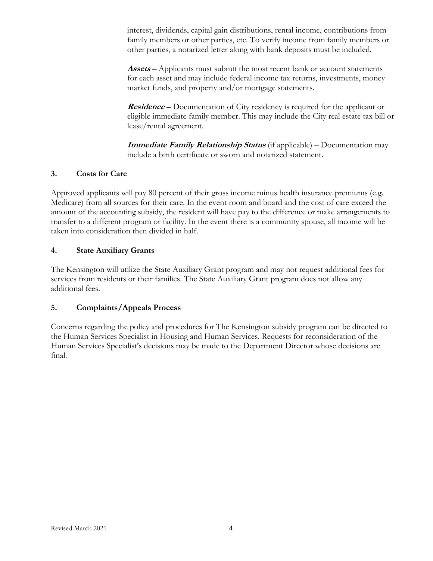interest, dividends, capital gain distributions, rental income, contributions from family members or other parties, etc. To verify income from family members or other parties, a notarized letter along with bank deposits must be included.

**Assets** – Applicants must submit the most recent bank or account statements for each asset and may include federal income tax returns, investments, money market funds, and property and/or mortgage statements.

**Residence** – Documentation of City residency is required for the applicant or eligible immediate family member. This may include the City real estate tax bill or lease/rental agreement.

**Immediate Family Relationship Status** (if applicable) – Documentation may include a birth certificate or sworn and notarized statement.

#### **3. Costs for Care**

Approved applicants will pay 80 percent of their gross income minus health insurance premiums (e.g. Medicare) from all sources for their care. In the event room and board and the cost of care exceed the amount of the accounting subsidy, the resident will have pay to the difference or make arrangements to transfer to a different program or facility. In the event there is a community spouse, all income will be taken into consideration then divided in half.

#### **4. State Auxiliary Grants**

The Kensington will utilize the State Auxiliary Grant program and may not request additional fees for services from residents or their families. The State Auxiliary Grant program does not allow any additional fees.

#### **5. Complaints/Appeals Process**

Concerns regarding the policy and procedures for The Kensington subsidy program can be directed to the Human Services Specialist in Housing and Human Services. Requests for reconsideration of the Human Services Specialist's decisions may be made to the Department Director whose decisions are final.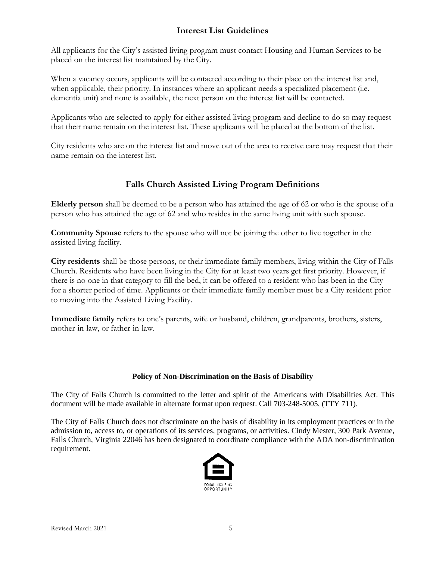## **Interest List Guidelines**

All applicants for the City's assisted living program must contact Housing and Human Services to be placed on the interest list maintained by the City.

When a vacancy occurs, applicants will be contacted according to their place on the interest list and, when applicable, their priority. In instances where an applicant needs a specialized placement (i.e. dementia unit) and none is available, the next person on the interest list will be contacted.

Applicants who are selected to apply for either assisted living program and decline to do so may request that their name remain on the interest list. These applicants will be placed at the bottom of the list.

City residents who are on the interest list and move out of the area to receive care may request that their name remain on the interest list.

# **Falls Church Assisted Living Program Definitions**

**Elderly person** shall be deemed to be a person who has attained the age of 62 or who is the spouse of a person who has attained the age of 62 and who resides in the same living unit with such spouse.

**Community Spouse** refers to the spouse who will not be joining the other to live together in the assisted living facility.

**City residents** shall be those persons, or their immediate family members, living within the City of Falls Church. Residents who have been living in the City for at least two years get first priority. However, if there is no one in that category to fill the bed, it can be offered to a resident who has been in the City for a shorter period of time. Applicants or their immediate family member must be a City resident prior to moving into the Assisted Living Facility.

**Immediate family** refers to one's parents, wife or husband, children, grandparents, brothers, sisters, mother-in-law, or father-in-law.

#### **Policy of Non-Discrimination on the Basis of Disability**

The City of Falls Church is committed to the letter and spirit of the Americans with Disabilities Act. This document will be made available in alternate format upon request. Call 703-248-5005, (TTY 711).

The City of Falls Church does not discriminate on the basis of disability in its employment practices or in the admission to, access to, or operations of its services, programs, or activities. Cindy Mester, 300 Park Avenue, Falls Church, Virginia 22046 has been designated to coordinate compliance with the ADA non-discrimination requirement.